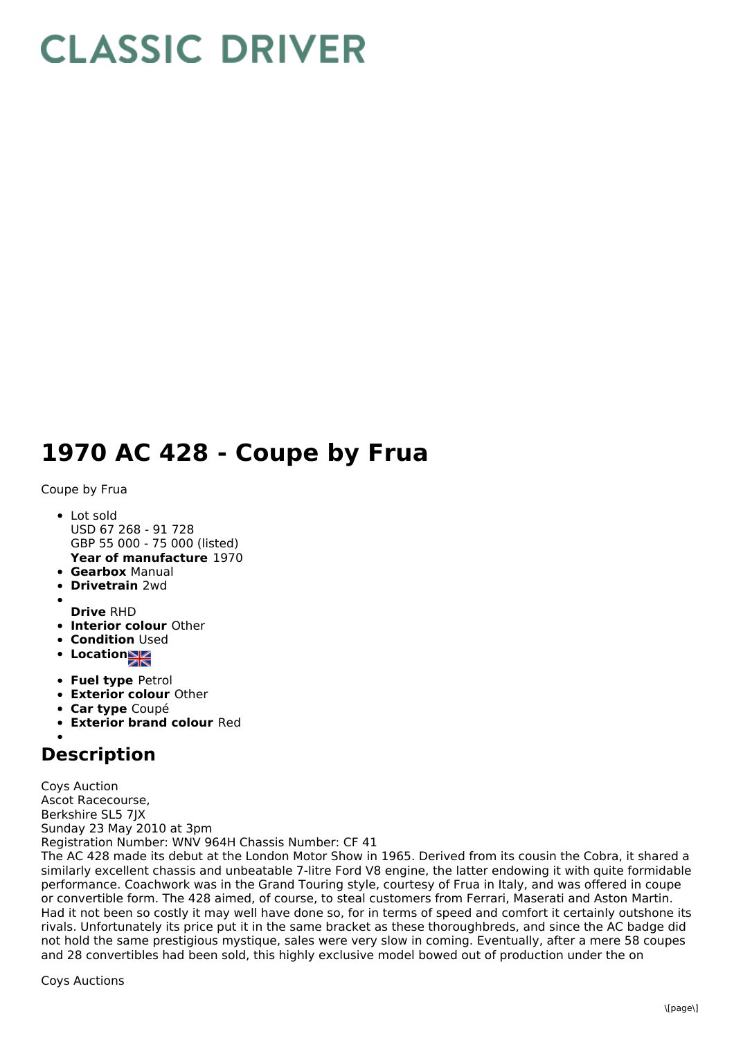## **CLASSIC DRIVER**

## **1970 AC 428 - Coupe by Frua**

Coupe by Frua

- **Year of manufacture** 1970 Lot sold USD 67 268 - 91 728 GBP 55 000 - 75 000 (listed)
- **Gearbox** Manual
- **Drivetrain** 2wd
- 
- **Drive** RHD
- **Interior colour** Other
- **Condition Used**
- Location
- **Fuel type** Petrol
- **Exterior colour** Other
- **Car type** Coupé
- **Exterior brand colour** Red

## **Description**

Coys Auction Ascot Racecourse, Berkshire SL5 7JX Sunday 23 May 2010 at 3pm Registration Number: WNV 964H Chassis Number: CF 41

The AC 428 made its debut at the London Motor Show in 1965. Derived from its cousin the Cobra, it shared a similarly excellent chassis and unbeatable 7-litre Ford V8 engine, the latter endowing it with quite formidable performance. Coachwork was in the Grand Touring style, courtesy of Frua in Italy, and was offered in coupe or convertible form. The 428 aimed, of course, to steal customers from Ferrari, Maserati and Aston Martin. Had it not been so costly it may well have done so, for in terms of speed and comfort it certainly outshone its rivals. Unfortunately its price put it in the same bracket as these thoroughbreds, and since the AC badge did not hold the same prestigious mystique, sales were very slow in coming. Eventually, after a mere 58 coupes and 28 convertibles had been sold, this highly exclusive model bowed out of production under the on

Coys Auctions